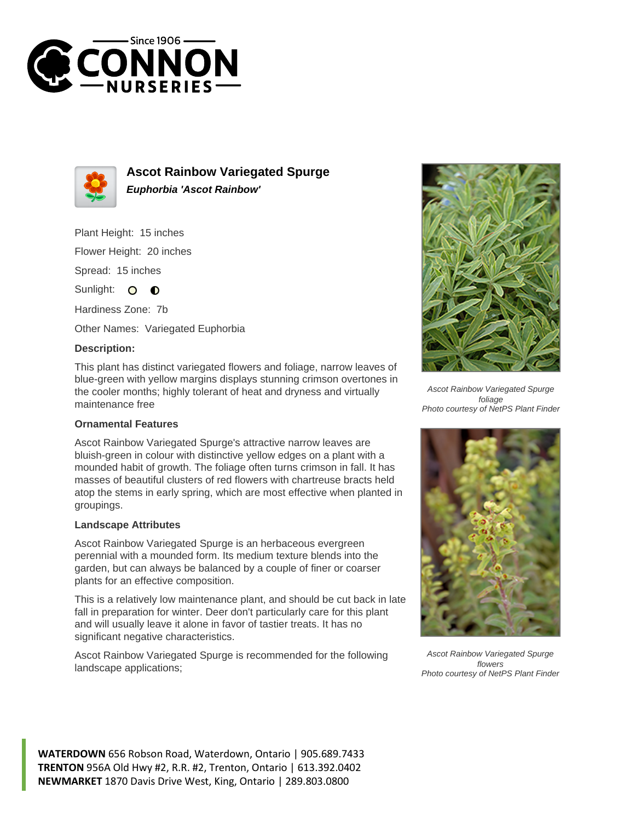



**Ascot Rainbow Variegated Spurge Euphorbia 'Ascot Rainbow'**

Plant Height: 15 inches

Flower Height: 20 inches

Spread: 15 inches

Sunlight: O **O** 

Hardiness Zone: 7b

Other Names: Variegated Euphorbia

## **Description:**

This plant has distinct variegated flowers and foliage, narrow leaves of blue-green with yellow margins displays stunning crimson overtones in the cooler months; highly tolerant of heat and dryness and virtually maintenance free

## **Ornamental Features**

Ascot Rainbow Variegated Spurge's attractive narrow leaves are bluish-green in colour with distinctive yellow edges on a plant with a mounded habit of growth. The foliage often turns crimson in fall. It has masses of beautiful clusters of red flowers with chartreuse bracts held atop the stems in early spring, which are most effective when planted in groupings.

## **Landscape Attributes**

Ascot Rainbow Variegated Spurge is an herbaceous evergreen perennial with a mounded form. Its medium texture blends into the garden, but can always be balanced by a couple of finer or coarser plants for an effective composition.

This is a relatively low maintenance plant, and should be cut back in late fall in preparation for winter. Deer don't particularly care for this plant and will usually leave it alone in favor of tastier treats. It has no significant negative characteristics.

Ascot Rainbow Variegated Spurge is recommended for the following landscape applications;



Ascot Rainbow Variegated Spurge foliage Photo courtesy of NetPS Plant Finder



Ascot Rainbow Variegated Spurge flowers Photo courtesy of NetPS Plant Finder

**WATERDOWN** 656 Robson Road, Waterdown, Ontario | 905.689.7433 **TRENTON** 956A Old Hwy #2, R.R. #2, Trenton, Ontario | 613.392.0402 **NEWMARKET** 1870 Davis Drive West, King, Ontario | 289.803.0800